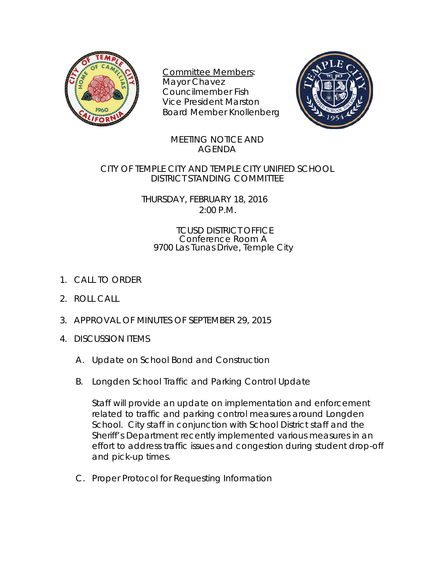

Committee Members: Mayor Chavez Councilmember Fish Vice President Marston Board Member Knollenberg



## MEETING NOTICE AND AGENDA

CITY OF TEMPLE CITY AND TEMPLE CITY UNIFIED SCHOOL DISTRICT STANDING COMMITTEE

> THURSDAY, FEBRUARY 18, 2016 2:00 P.M.

## TCUSD DISTRICT OFFICE Conference Room A 9700 Las Tunas Drive, Temple City

- 1. CALL TO ORDER
- 2. ROLL CALL
- 3. APPROVAL OF MINUTES OF SEPTEMBER 29, 2015
- 4. DISCUSSION ITEMS
	- A. Update on School Bond and Construction
	- B. Longden School Traffic and Parking Control Update

Staff will provide an update on implementation and enforcement related to traffic and parking control measures around Longden School. City staff in conjunction with School District staff and the Sheriff's Department recently implemented various measures in an effort to address traffic issues and congestion during student drop-off and pick-up times.

C. Proper Protocol for Requesting Information